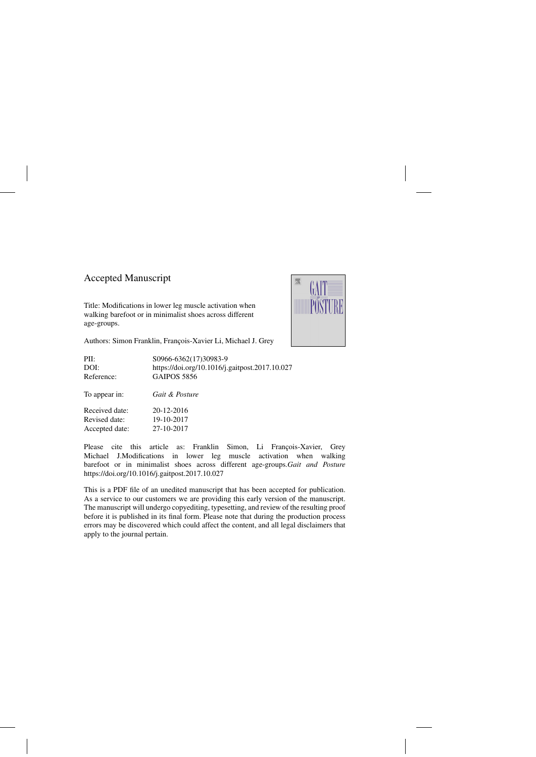### Accepted Manuscript

Title: Modifications in lower leg muscle activation when walking barefoot or in minimalist shoes across different age-groups.



Authors: Simon Franklin, François-Xavier Li, Michael J. Grey

| PII:           | S0966-6362(17)30983-9                          |
|----------------|------------------------------------------------|
| DOI:           | https://doi.org/10.1016/j.gaitpost.2017.10.027 |
| Reference:     | <b>GAIPOS 5856</b>                             |
| To appear in:  | Gait & Posture                                 |
| Received date: | 20-12-2016                                     |
| Revised date:  | 19-10-2017                                     |
| Accepted date: | 27-10-2017                                     |

Please cite this article as: Franklin Simon, Li François-Xavier, Grey Michael J.Modifications in lower leg muscle activation when walking barefoot or in minimalist shoes across different age-groups.*Gait and Posture* <https://doi.org/10.1016/j.gaitpost.2017.10.027>

This is a PDF file of an unedited manuscript that has been accepted for publication. As a service to our customers we are providing this early version of the manuscript. The manuscript will undergo copyediting, typesetting, and review of the resulting proof before it is published in its final form. Please note that during the production process errors may be discovered which could affect the content, and all legal disclaimers that apply to the journal pertain.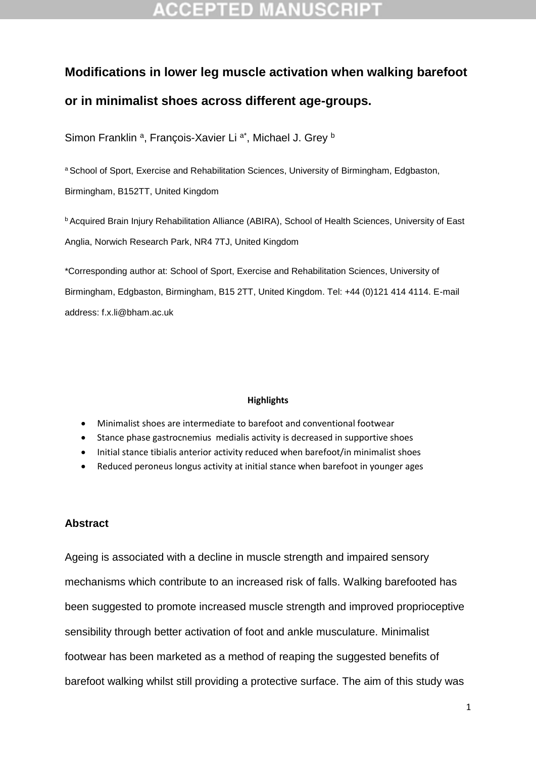# **Modifications in lower leg muscle activation when walking barefoot or in minimalist shoes across different age-groups.**

Simon Franklin<sup>a</sup>, François-Xavier Li<sup>a\*</sup>, Michael J. Grey<sup>b</sup>

a School of Sport, Exercise and Rehabilitation Sciences, University of Birmingham, Edgbaston, Birmingham, B152TT, United Kingdom

**b Acquired Brain Injury Rehabilitation Alliance (ABIRA), School of Health Sciences, University of East** Anglia, Norwich Research Park, NR4 7TJ, United Kingdom

\*Corresponding author at: School of Sport, Exercise and Rehabilitation Sciences, University of Birmingham, Edgbaston, Birmingham, B15 2TT, United Kingdom. Tel: +44 (0)121 414 4114. E-mail address: [f.x.li@bham.ac.uk](mailto:f.x.li@bham.ac.uk)

### **Highlights**

- Minimalist shoes are intermediate to barefoot and conventional footwear
- Stance phase gastrocnemius medialis activity is decreased in supportive shoes
- Initial stance tibialis anterior activity reduced when barefoot/in minimalist shoes
- Reduced peroneus longus activity at initial stance when barefoot in younger ages

### **Abstract**

Ageing is associated with a decline in muscle strength and impaired sensory mechanisms which contribute to an increased risk of falls. Walking barefooted has been suggested to promote increased muscle strength and improved proprioceptive sensibility through better activation of foot and ankle musculature. Minimalist footwear has been marketed as a method of reaping the suggested benefits of barefoot walking whilst still providing a protective surface. The aim of this study was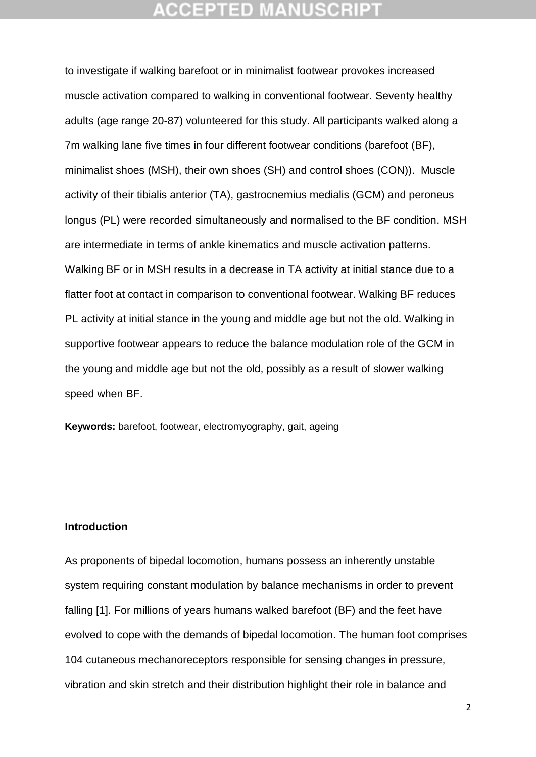### CGEPTED M

to investigate if walking barefoot or in minimalist footwear provokes increased muscle activation compared to walking in conventional footwear. Seventy healthy adults (age range 20-87) volunteered for this study. All participants walked along a 7m walking lane five times in four different footwear conditions (barefoot (BF), minimalist shoes (MSH), their own shoes (SH) and control shoes (CON)). Muscle activity of their tibialis anterior (TA), gastrocnemius medialis (GCM) and peroneus longus (PL) were recorded simultaneously and normalised to the BF condition. MSH are intermediate in terms of ankle kinematics and muscle activation patterns. Walking BF or in MSH results in a decrease in TA activity at initial stance due to a flatter foot at contact in comparison to conventional footwear. Walking BF reduces PL activity at initial stance in the young and middle age but not the old. Walking in supportive footwear appears to reduce the balance modulation role of the GCM in the young and middle age but not the old, possibly as a result of slower walking speed when BF.

**Keywords:** barefoot, footwear, electromyography, gait, ageing

### **Introduction**

As proponents of bipedal locomotion, humans possess an inherently unstable system requiring constant modulation by balance mechanisms in order to prevent falling [1]. For millions of years humans walked barefoot (BF) and the feet have evolved to cope with the demands of bipedal locomotion. The human foot comprises 104 cutaneous mechanoreceptors responsible for sensing changes in pressure, vibration and skin stretch and their distribution highlight their role in balance and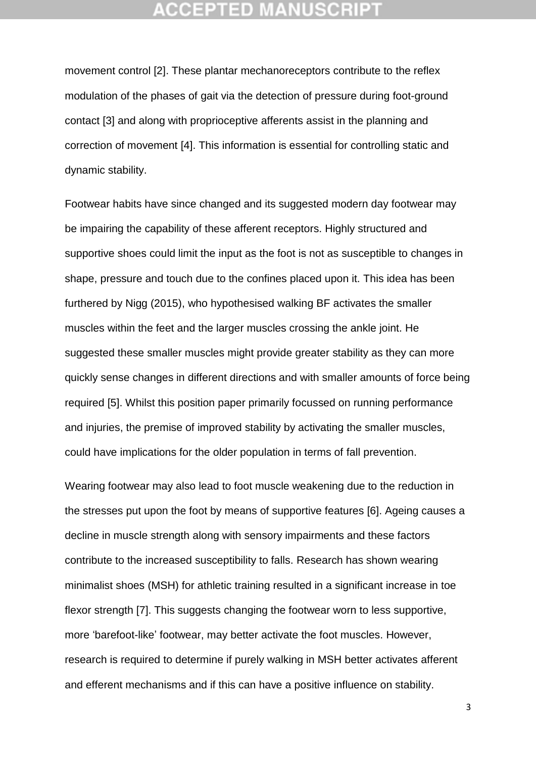### :CEPTED M

movement control [2]. These plantar mechanoreceptors contribute to the reflex modulation of the phases of gait via the detection of pressure during foot-ground contact [3] and along with proprioceptive afferents assist in the planning and correction of movement [4]. This information is essential for controlling static and dynamic stability.

Footwear habits have since changed and its suggested modern day footwear may be impairing the capability of these afferent receptors. Highly structured and supportive shoes could limit the input as the foot is not as susceptible to changes in shape, pressure and touch due to the confines placed upon it. This idea has been furthered by Nigg (2015), who hypothesised walking BF activates the smaller muscles within the feet and the larger muscles crossing the ankle joint. He suggested these smaller muscles might provide greater stability as they can more quickly sense changes in different directions and with smaller amounts of force being required [5]. Whilst this position paper primarily focussed on running performance and injuries, the premise of improved stability by activating the smaller muscles, could have implications for the older population in terms of fall prevention.

Wearing footwear may also lead to foot muscle weakening due to the reduction in the stresses put upon the foot by means of supportive features [6]. Ageing causes a decline in muscle strength along with sensory impairments and these factors contribute to the increased susceptibility to falls. Research has shown wearing minimalist shoes (MSH) for athletic training resulted in a significant increase in toe flexor strength [7]. This suggests changing the footwear worn to less supportive, more 'barefoot-like' footwear, may better activate the foot muscles. However, research is required to determine if purely walking in MSH better activates afferent and efferent mechanisms and if this can have a positive influence on stability.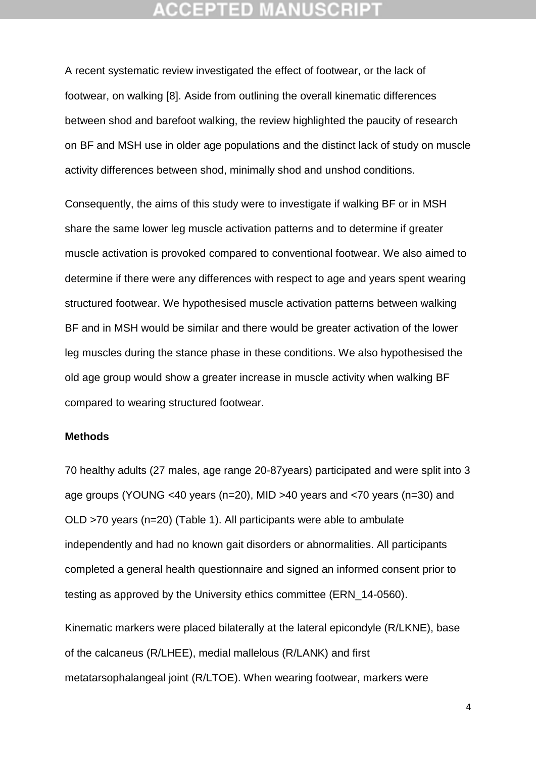A recent systematic review investigated the effect of footwear, or the lack of footwear, on walking [8]. Aside from outlining the overall kinematic differences between shod and barefoot walking, the review highlighted the paucity of research on BF and MSH use in older age populations and the distinct lack of study on muscle activity differences between shod, minimally shod and unshod conditions.

Consequently, the aims of this study were to investigate if walking BF or in MSH share the same lower leg muscle activation patterns and to determine if greater muscle activation is provoked compared to conventional footwear. We also aimed to determine if there were any differences with respect to age and years spent wearing structured footwear. We hypothesised muscle activation patterns between walking BF and in MSH would be similar and there would be greater activation of the lower leg muscles during the stance phase in these conditions. We also hypothesised the old age group would show a greater increase in muscle activity when walking BF compared to wearing structured footwear.

#### **Methods**

70 healthy adults (27 males, age range 20-87years) participated and were split into 3 age groups (YOUNG <40 years (n=20), MID >40 years and <70 years (n=30) and OLD >70 years (n=20) (Table 1). All participants were able to ambulate independently and had no known gait disorders or abnormalities. All participants completed a general health questionnaire and signed an informed consent prior to testing as approved by the University ethics committee (ERN\_14-0560).

Kinematic markers were placed bilaterally at the lateral epicondyle (R/LKNE), base of the calcaneus (R/LHEE), medial mallelous (R/LANK) and first metatarsophalangeal joint (R/LTOE). When wearing footwear, markers were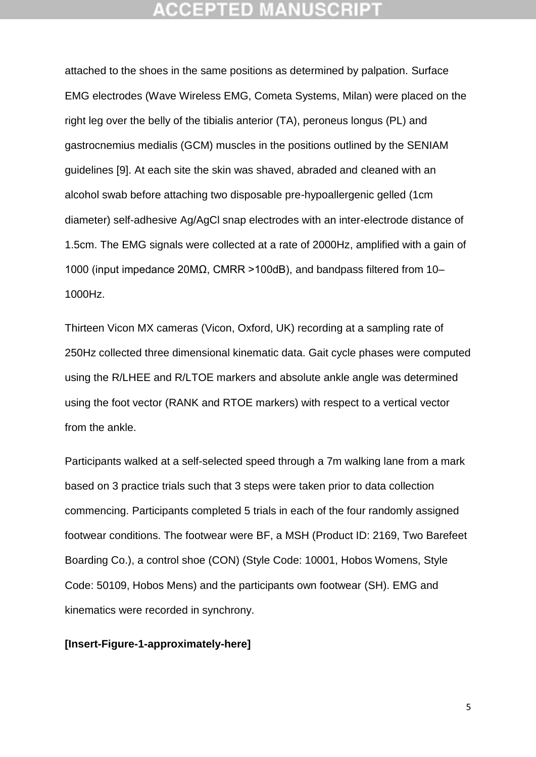attached to the shoes in the same positions as determined by palpation. Surface EMG electrodes (Wave Wireless EMG, Cometa Systems, Milan) were placed on the right leg over the belly of the tibialis anterior (TA), peroneus longus (PL) and gastrocnemius medialis (GCM) muscles in the positions outlined by the SENIAM guidelines [9]. At each site the skin was shaved, abraded and cleaned with an alcohol swab before attaching two disposable pre-hypoallergenic gelled (1cm diameter) self-adhesive Ag/AgCl snap electrodes with an inter-electrode distance of 1.5cm. The EMG signals were collected at a rate of 2000Hz, amplified with a gain of 1000 (input impedance 20MΩ, CMRR >100dB), and bandpass filtered from 10– 1000Hz.

Thirteen Vicon MX cameras (Vicon, Oxford, UK) recording at a sampling rate of 250Hz collected three dimensional kinematic data. Gait cycle phases were computed using the R/LHEE and R/LTOE markers and absolute ankle angle was determined using the foot vector (RANK and RTOE markers) with respect to a vertical vector from the ankle.

Participants walked at a self-selected speed through a 7m walking lane from a mark based on 3 practice trials such that 3 steps were taken prior to data collection commencing. Participants completed 5 trials in each of the four randomly assigned footwear conditions. The footwear were BF, a MSH (Product ID: 2169, Two Barefeet Boarding Co.), a control shoe (CON) (Style Code: 10001, Hobos Womens, Style Code: 50109, Hobos Mens) and the participants own footwear (SH). EMG and kinematics were recorded in synchrony.

### **[Insert-Figure-1-approximately-here]**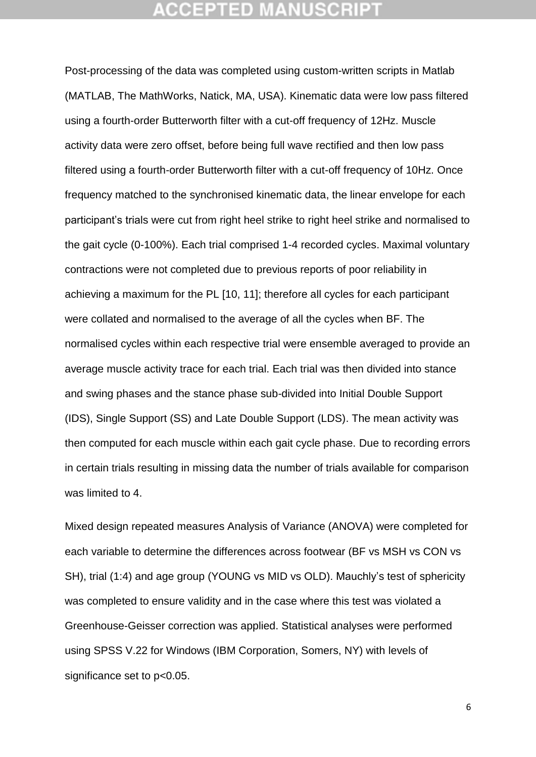Post-processing of the data was completed using custom-written scripts in Matlab (MATLAB, The MathWorks, Natick, MA, USA). Kinematic data were low pass filtered using a fourth-order Butterworth filter with a cut-off frequency of 12Hz. Muscle activity data were zero offset, before being full wave rectified and then low pass filtered using a fourth-order Butterworth filter with a cut-off frequency of 10Hz. Once frequency matched to the synchronised kinematic data, the linear envelope for each participant's trials were cut from right heel strike to right heel strike and normalised to the gait cycle (0-100%). Each trial comprised 1-4 recorded cycles. Maximal voluntary contractions were not completed due to previous reports of poor reliability in achieving a maximum for the PL [10, 11]; therefore all cycles for each participant were collated and normalised to the average of all the cycles when BF. The normalised cycles within each respective trial were ensemble averaged to provide an average muscle activity trace for each trial. Each trial was then divided into stance and swing phases and the stance phase sub-divided into Initial Double Support (IDS), Single Support (SS) and Late Double Support (LDS). The mean activity was then computed for each muscle within each gait cycle phase. Due to recording errors in certain trials resulting in missing data the number of trials available for comparison was limited to 4.

Mixed design repeated measures Analysis of Variance (ANOVA) were completed for each variable to determine the differences across footwear (BF vs MSH vs CON vs SH), trial (1:4) and age group (YOUNG vs MID vs OLD). Mauchly's test of sphericity was completed to ensure validity and in the case where this test was violated a Greenhouse-Geisser correction was applied. Statistical analyses were performed using SPSS V.22 for Windows (IBM Corporation, Somers, NY) with levels of significance set to  $p<0.05$ .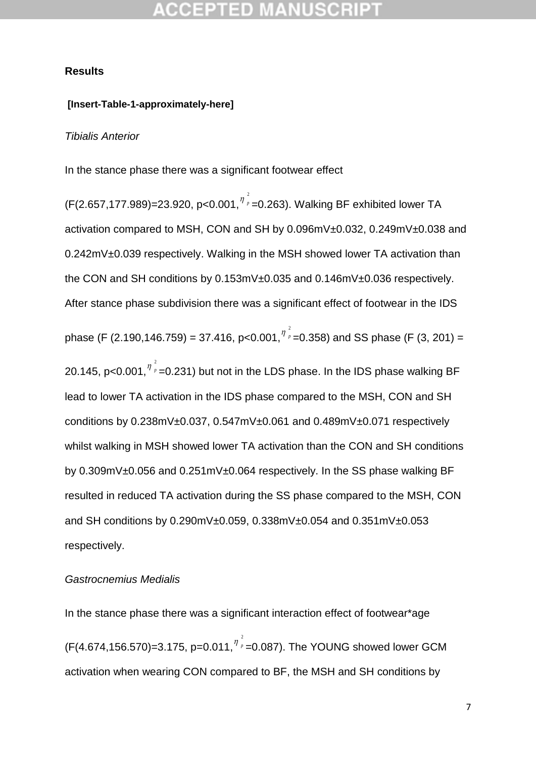#### **Results**

### **[Insert-Table-1-approximately-here]**

#### *Tibialis Anterior*

In the stance phase there was a significant footwear effect

(F(2.657,177.989)=23.920, p<0.001, $\frac{\eta^{\frac{2}{\rho}}}{\eta}$  $\eta$ <sub>*v*</sub> = 0.263). Walking BF exhibited lower TA activation compared to MSH, CON and SH by 0.096mV±0.032, 0.249mV±0.038 and 0.242mV±0.039 respectively. Walking in the MSH showed lower TA activation than the CON and SH conditions by 0.153mV±0.035 and 0.146mV±0.036 respectively. After stance phase subdivision there was a significant effect of footwear in the IDS phase (F (2.190,146.759) = 37.416, p<0.001, $\eta^{\frac{2}{\rho}}$  $\frac{\eta}{\rho}$  =0.358) and SS phase (F (3, 201) = 20.145, p<0.001, $^{\eta^{\frac{2}{p}}}$  $p_{\textit{p}}$  =0.231) but not in the LDS phase. In the IDS phase walking BF lead to lower TA activation in the IDS phase compared to the MSH, CON and SH conditions by 0.238mV±0.037, 0.547mV±0.061 and 0.489mV±0.071 respectively whilst walking in MSH showed lower TA activation than the CON and SH conditions by 0.309mV±0.056 and 0.251mV±0.064 respectively. In the SS phase walking BF resulted in reduced TA activation during the SS phase compared to the MSH, CON and SH conditions by 0.290mV±0.059, 0.338mV±0.054 and 0.351mV±0.053 respectively.

#### *Gastrocnemius Medialis*

In the stance phase there was a significant interaction effect of footwear\*age  $(F(4.674, 156.570)=3.175, p=0.011, ^{7^{2}_{p}}$  $\eta$ <sub>p</sub> =0.087). The YOUNG showed lower GCM activation when wearing CON compared to BF, the MSH and SH conditions by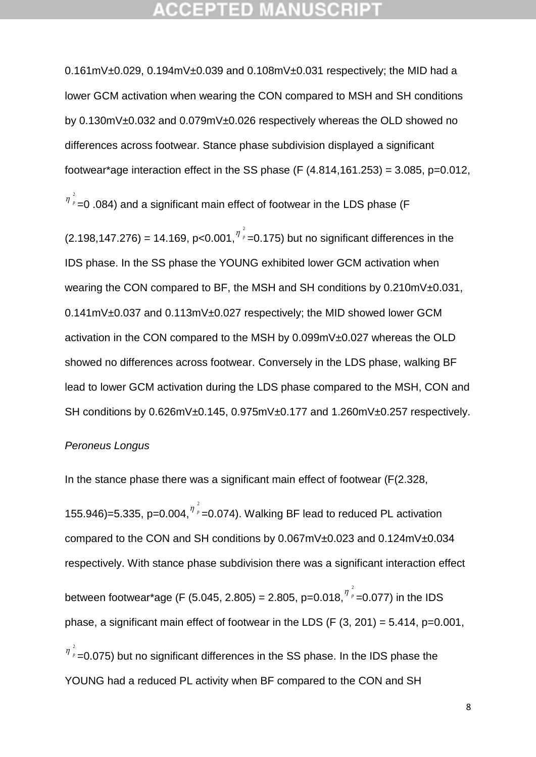0.161mV±0.029, 0.194mV±0.039 and 0.108mV±0.031 respectively; the MID had a lower GCM activation when wearing the CON compared to MSH and SH conditions by 0.130mV±0.032 and 0.079mV±0.026 respectively whereas the OLD showed no differences across footwear. Stance phase subdivision displayed a significant footwear\*age interaction effect in the SS phase (F  $(4.814, 161.253) = 3.085$ , p=0.012,

 $\eta$ <sub>*p*</sub> =0 .084) and a significant main effect of footwear in the LDS phase (F

 $(2.198, 147.276) = 14.169, p < 0.001, ^{\eta^2}$  $\frac{\eta}{\rho}$  =0.175) but no significant differences in the IDS phase. In the SS phase the YOUNG exhibited lower GCM activation when wearing the CON compared to BF, the MSH and SH conditions by 0.210mV±0.031, 0.141mV±0.037 and 0.113mV±0.027 respectively; the MID showed lower GCM activation in the CON compared to the MSH by 0.099mV±0.027 whereas the OLD showed no differences across footwear. Conversely in the LDS phase, walking BF lead to lower GCM activation during the LDS phase compared to the MSH, CON and SH conditions by 0.626mV±0.145, 0.975mV±0.177 and 1.260mV±0.257 respectively.

#### *Peroneus Longus*

2

In the stance phase there was a significant main effect of footwear (F(2.328,

155.946)=5.335, p=0.004, $n^2$  $\eta$ <sub>*p*</sub> = 0.074). Walking BF lead to reduced PL activation compared to the CON and SH conditions by 0.067mV±0.023 and 0.124mV±0.034 respectively. With stance phase subdivision there was a significant interaction effect between footwear\*age (F (5.045, 2.805) = 2.805, p=0.018, $^{\eta\ \frac{2}{\rho}}$  $n_{p}$  =0.077) in the IDS phase, a significant main effect of footwear in the LDS (F  $(3, 201) = 5.414$ , p=0.001, 2  $p_{\textit{p}}$  =0.075) but no significant differences in the SS phase. In the IDS phase the YOUNG had a reduced PL activity when BF compared to the CON and SH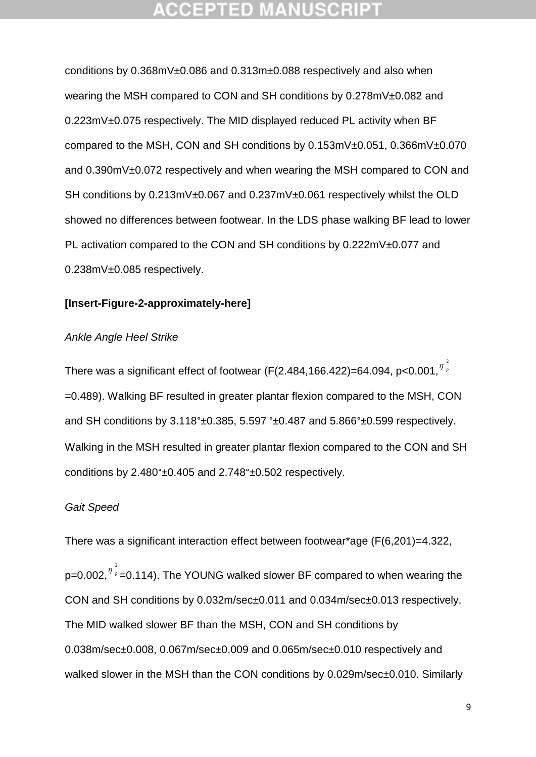### GEPTED

conditions by 0.368mV±0.086 and 0.313m±0.088 respectively and also when wearing the MSH compared to CON and SH conditions by 0.278mV±0.082 and 0.223mV±0.075 respectively. The MID displayed reduced PL activity when BF compared to the MSH, CON and SH conditions by 0.153mV±0.051, 0.366mV±0.070 and 0.390mV±0.072 respectively and when wearing the MSH compared to CON and SH conditions by 0.213mV±0.067 and 0.237mV±0.061 respectively whilst the OLD showed no differences between footwear. In the LDS phase walking BF lead to lower PL activation compared to the CON and SH conditions by 0.222mV±0.077 and 0.238mV±0.085 respectively.

### **[Insert-Figure-2-approximately-here]**

### *Ankle Angle Heel Strike*

There was a significant effect of footwear (F(2.484,166.422)=64.094, p<0.001, $^{\eta^{\frac{2}{\rho}}}$  $\eta$ <sub>p</sub> =0.489). Walking BF resulted in greater plantar flexion compared to the MSH, CON and SH conditions by 3.118°±0.385, 5.597 °±0.487 and 5.866°±0.599 respectively. Walking in the MSH resulted in greater plantar flexion compared to the CON and SH conditions by 2.480°±0.405 and 2.748°±0.502 respectively.

### *Gait Speed*

There was a significant interaction effect between footwear\*age (F(6,201)=4.322, p=0.002, $^{\eta \frac{2}{p}}$  $\eta$ <sub>p</sub> = 0.114). The YOUNG walked slower BF compared to when wearing the CON and SH conditions by 0.032m/sec±0.011 and 0.034m/sec±0.013 respectively. The MID walked slower BF than the MSH, CON and SH conditions by 0.038m/sec±0.008, 0.067m/sec±0.009 and 0.065m/sec±0.010 respectively and walked slower in the MSH than the CON conditions by 0.029m/sec±0.010. Similarly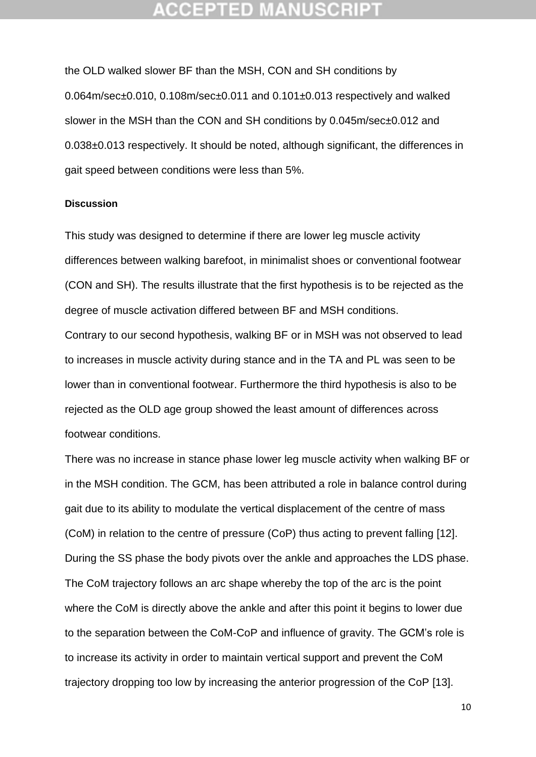the OLD walked slower BF than the MSH, CON and SH conditions by 0.064m/sec±0.010, 0.108m/sec±0.011 and 0.101±0.013 respectively and walked slower in the MSH than the CON and SH conditions by 0.045m/sec±0.012 and 0.038±0.013 respectively. It should be noted, although significant, the differences in gait speed between conditions were less than 5%.

### **Discussion**

This study was designed to determine if there are lower leg muscle activity differences between walking barefoot, in minimalist shoes or conventional footwear (CON and SH). The results illustrate that the first hypothesis is to be rejected as the degree of muscle activation differed between BF and MSH conditions.

Contrary to our second hypothesis, walking BF or in MSH was not observed to lead to increases in muscle activity during stance and in the TA and PL was seen to be lower than in conventional footwear. Furthermore the third hypothesis is also to be rejected as the OLD age group showed the least amount of differences across footwear conditions.

There was no increase in stance phase lower leg muscle activity when walking BF or in the MSH condition. The GCM, has been attributed a role in balance control during gait due to its ability to modulate the vertical displacement of the centre of mass (CoM) in relation to the centre of pressure (CoP) thus acting to prevent falling [12]. During the SS phase the body pivots over the ankle and approaches the LDS phase. The CoM trajectory follows an arc shape whereby the top of the arc is the point where the CoM is directly above the ankle and after this point it begins to lower due to the separation between the CoM-CoP and influence of gravity. The GCM's role is to increase its activity in order to maintain vertical support and prevent the CoM trajectory dropping too low by increasing the anterior progression of the CoP [13].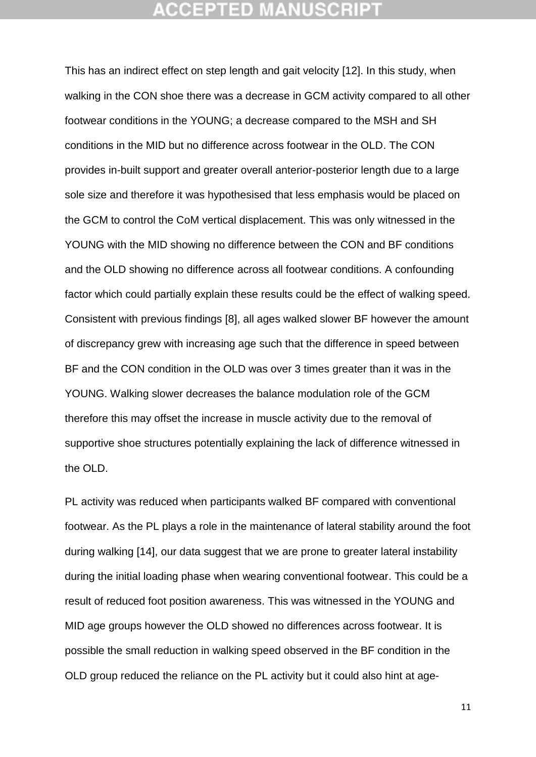### CEPTED M:

This has an indirect effect on step length and gait velocity [12]. In this study, when walking in the CON shoe there was a decrease in GCM activity compared to all other footwear conditions in the YOUNG; a decrease compared to the MSH and SH conditions in the MID but no difference across footwear in the OLD. The CON provides in-built support and greater overall anterior-posterior length due to a large sole size and therefore it was hypothesised that less emphasis would be placed on the GCM to control the CoM vertical displacement. This was only witnessed in the YOUNG with the MID showing no difference between the CON and BF conditions and the OLD showing no difference across all footwear conditions. A confounding factor which could partially explain these results could be the effect of walking speed. Consistent with previous findings [8], all ages walked slower BF however the amount of discrepancy grew with increasing age such that the difference in speed between BF and the CON condition in the OLD was over 3 times greater than it was in the YOUNG. Walking slower decreases the balance modulation role of the GCM therefore this may offset the increase in muscle activity due to the removal of supportive shoe structures potentially explaining the lack of difference witnessed in the OLD.

PL activity was reduced when participants walked BF compared with conventional footwear. As the PL plays a role in the maintenance of lateral stability around the foot during walking [14], our data suggest that we are prone to greater lateral instability during the initial loading phase when wearing conventional footwear. This could be a result of reduced foot position awareness. This was witnessed in the YOUNG and MID age groups however the OLD showed no differences across footwear. It is possible the small reduction in walking speed observed in the BF condition in the OLD group reduced the reliance on the PL activity but it could also hint at age-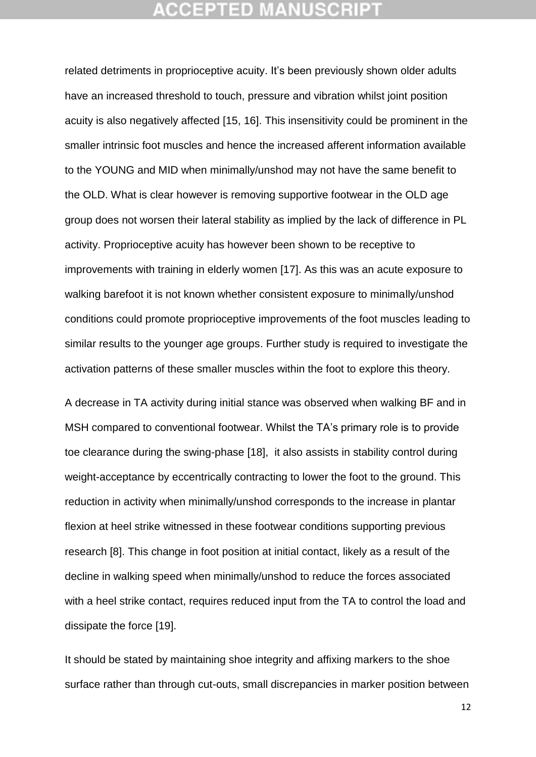related detriments in proprioceptive acuity. It's been previously shown older adults have an increased threshold to touch, pressure and vibration whilst joint position acuity is also negatively affected [15, 16]. This insensitivity could be prominent in the smaller intrinsic foot muscles and hence the increased afferent information available to the YOUNG and MID when minimally/unshod may not have the same benefit to the OLD. What is clear however is removing supportive footwear in the OLD age group does not worsen their lateral stability as implied by the lack of difference in PL activity. Proprioceptive acuity has however been shown to be receptive to improvements with training in elderly women [17]. As this was an acute exposure to walking barefoot it is not known whether consistent exposure to minimally/unshod conditions could promote proprioceptive improvements of the foot muscles leading to similar results to the younger age groups. Further study is required to investigate the activation patterns of these smaller muscles within the foot to explore this theory.

A decrease in TA activity during initial stance was observed when walking BF and in MSH compared to conventional footwear. Whilst the TA's primary role is to provide toe clearance during the swing-phase [18], it also assists in stability control during weight-acceptance by eccentrically contracting to lower the foot to the ground. This reduction in activity when minimally/unshod corresponds to the increase in plantar flexion at heel strike witnessed in these footwear conditions supporting previous research [8]. This change in foot position at initial contact, likely as a result of the decline in walking speed when minimally/unshod to reduce the forces associated with a heel strike contact, requires reduced input from the TA to control the load and dissipate the force [19].

It should be stated by maintaining shoe integrity and affixing markers to the shoe surface rather than through cut-outs, small discrepancies in marker position between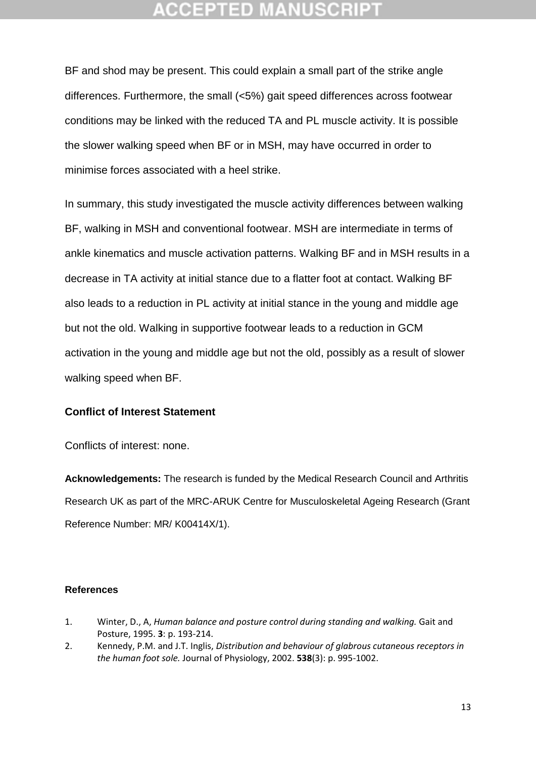BF and shod may be present. This could explain a small part of the strike angle differences. Furthermore, the small (<5%) gait speed differences across footwear conditions may be linked with the reduced TA and PL muscle activity. It is possible the slower walking speed when BF or in MSH, may have occurred in order to minimise forces associated with a heel strike.

In summary, this study investigated the muscle activity differences between walking BF, walking in MSH and conventional footwear. MSH are intermediate in terms of ankle kinematics and muscle activation patterns. Walking BF and in MSH results in a decrease in TA activity at initial stance due to a flatter foot at contact. Walking BF also leads to a reduction in PL activity at initial stance in the young and middle age but not the old. Walking in supportive footwear leads to a reduction in GCM activation in the young and middle age but not the old, possibly as a result of slower walking speed when BF.

### **Conflict of Interest Statement**

Conflicts of interest: none.

**Acknowledgements:** The research is funded by the Medical Research Council and Arthritis Research UK as part of the MRC-ARUK Centre for Musculoskeletal Ageing Research (Grant Reference Number: MR/ K00414X/1).

### **References**

- 1. Winter, D., A, *Human balance and posture control during standing and walking.* Gait and Posture, 1995. **3**: p. 193-214.
- 2. Kennedy, P.M. and J.T. Inglis, *Distribution and behaviour of glabrous cutaneous receptors in the human foot sole.* Journal of Physiology, 2002. **538**(3): p. 995-1002.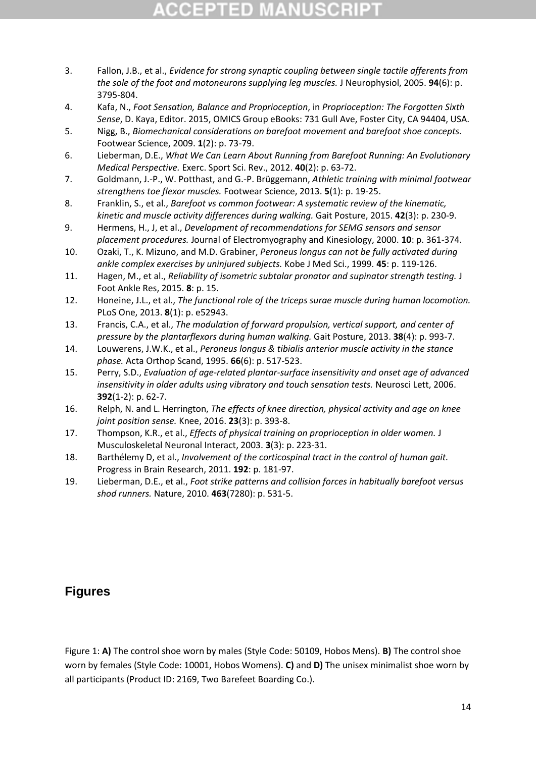## CCEPTED M

- 3. Fallon, J.B., et al., *Evidence for strong synaptic coupling between single tactile afferents from the sole of the foot and motoneurons supplying leg muscles.* J Neurophysiol, 2005. **94**(6): p. 3795-804.
- 4. Kafa, N., *Foot Sensation, Balance and Proprioception*, in *Proprioception: The Forgotten Sixth Sense*, D. Kaya, Editor. 2015, OMICS Group eBooks: 731 Gull Ave, Foster City, CA 94404, USA.
- 5. Nigg, B., *Biomechanical considerations on barefoot movement and barefoot shoe concepts.* Footwear Science, 2009. **1**(2): p. 73-79.
- 6. Lieberman, D.E., *What We Can Learn About Running from Barefoot Running: An Evolutionary Medical Perspective.* Exerc. Sport Sci. Rev., 2012. **40**(2): p. 63-72.
- 7. Goldmann, J.-P., W. Potthast, and G.-P. Brüggemann, *Athletic training with minimal footwear strengthens toe flexor muscles.* Footwear Science, 2013. **5**(1): p. 19-25.
- 8. Franklin, S., et al., *Barefoot vs common footwear: A systematic review of the kinematic, kinetic and muscle activity differences during walking.* Gait Posture, 2015. **42**(3): p. 230-9.
- 9. Hermens, H., J, et al., *Development of recommendations for SEMG sensors and sensor placement procedures.* Journal of Electromyography and Kinesiology, 2000. **10**: p. 361-374.
- 10. Ozaki, T., K. Mizuno, and M.D. Grabiner, *Peroneus longus can not be fully activated during ankle complex exercises by uninjured subjects.* Kobe J Med Sci., 1999. **45**: p. 119-126.
- 11. Hagen, M., et al., *Reliability of isometric subtalar pronator and supinator strength testing.* J Foot Ankle Res, 2015. **8**: p. 15.
- 12. Honeine, J.L., et al., *The functional role of the triceps surae muscle during human locomotion.* PLoS One, 2013. **8**(1): p. e52943.
- 13. Francis, C.A., et al., *The modulation of forward propulsion, vertical support, and center of pressure by the plantarflexors during human walking.* Gait Posture, 2013. **38**(4): p. 993-7.
- 14. Louwerens, J.W.K., et al., *Peroneus longus & tibialis anterior muscle activity in the stance phase.* Acta Orthop Scand, 1995. **66**(6): p. 517-523.
- 15. Perry, S.D., *Evaluation of age-related plantar-surface insensitivity and onset age of advanced insensitivity in older adults using vibratory and touch sensation tests.* Neurosci Lett, 2006. **392**(1-2): p. 62-7.
- 16. Relph, N. and L. Herrington, *The effects of knee direction, physical activity and age on knee joint position sense.* Knee, 2016. **23**(3): p. 393-8.
- 17. Thompson, K.R., et al., *Effects of physical training on proprioception in older women.* J Musculoskeletal Neuronal Interact, 2003. **3**(3): p. 223-31.
- 18. Barthélemy D, et al., *Involvement of the corticospinal tract in the control of human gait.* Progress in Brain Research, 2011. **192**: p. 181-97.
- 19. Lieberman, D.E., et al., *Foot strike patterns and collision forces in habitually barefoot versus shod runners.* Nature, 2010. **463**(7280): p. 531-5.

### **Figures**

Figure 1: **A)** The control shoe worn by males (Style Code: 50109, Hobos Mens). **B)** The control shoe worn by females (Style Code: 10001, Hobos Womens). **C)** and **D)** The unisex minimalist shoe worn by all participants (Product ID: 2169, Two Barefeet Boarding Co.).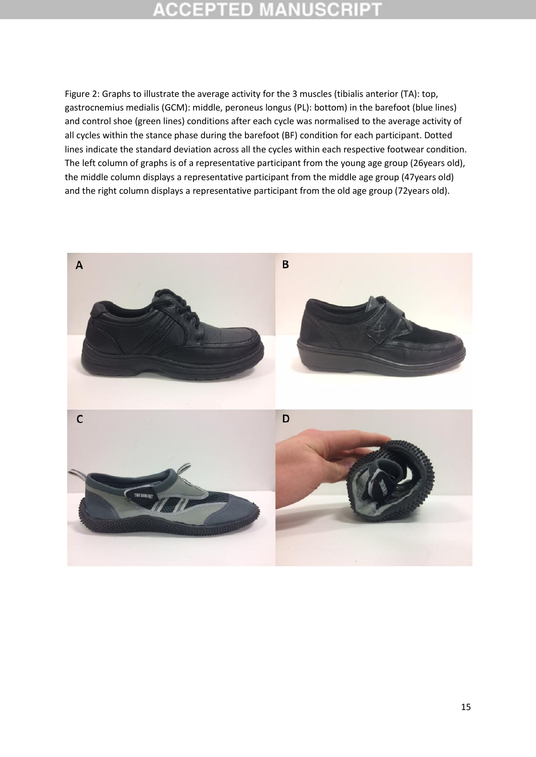## **ACCEPTED MANUSC**

Figure 2: Graphs to illustrate the average activity for the 3 muscles (tibialis anterior (TA): top, gastrocnemius medialis (GCM): middle, peroneus longus (PL): bottom) in the barefoot (blue lines) and control shoe (green lines) conditions after each cycle was normalised to the average activity of all cycles within the stance phase during the barefoot (BF) condition for each participant. Dotted lines indicate the standard deviation across all the cycles within each respective footwear condition. The left column of graphs is of a representative participant from the young age group (26years old), the middle column displays a representative participant from the middle age group (47years old) and the right column displays a representative participant from the old age group (72years old).